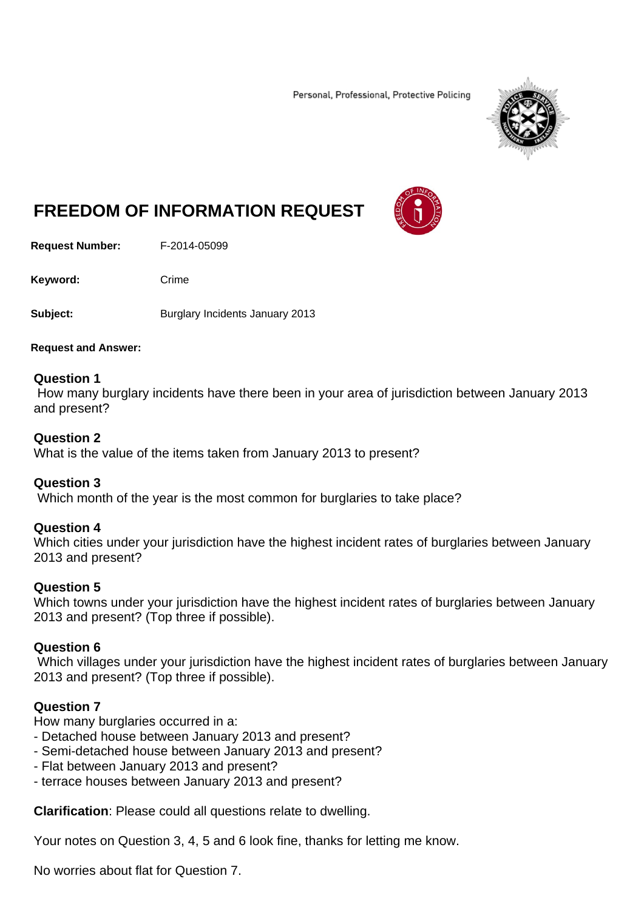Personal, Professional, Protective Policing



# **FREEDOM OF INFORMATION REQUEST**

**Request Number:** F-2014-05099

Keyword: Crime

**Subject: Burglary Incidents January 2013** 

#### **Request and Answer:**

#### **Question 1**

 How many burglary incidents have there been in your area of jurisdiction between January 2013 and present?

#### **Question 2**

What is the value of the items taken from January 2013 to present?

## **Question 3**

Which month of the year is the most common for burglaries to take place?

## **Question 4**

Which cities under your jurisdiction have the highest incident rates of burglaries between January 2013 and present?

## **Question 5**

Which towns under your jurisdiction have the highest incident rates of burglaries between January 2013 and present? (Top three if possible).

#### **Question 6**

 Which villages under your jurisdiction have the highest incident rates of burglaries between January 2013 and present? (Top three if possible).

## **Question 7**

How many burglaries occurred in a:

- Detached house between January 2013 and present?
- Semi-detached house between January 2013 and present?
- Flat between January 2013 and present?
- terrace houses between January 2013 and present?

**Clarification**: Please could all questions relate to dwelling.

Your notes on Question 3, 4, 5 and 6 look fine, thanks for letting me know.

No worries about flat for Question 7.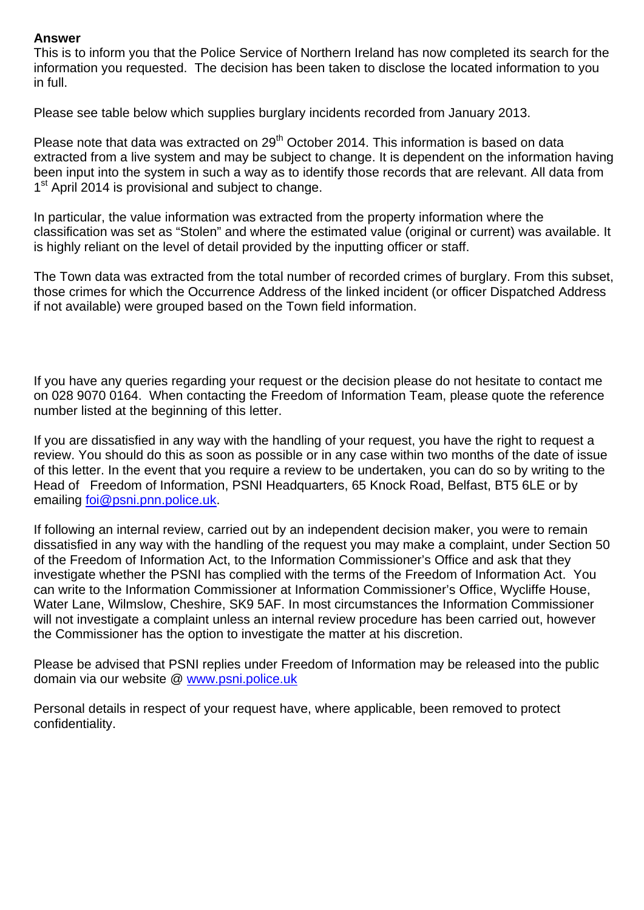## **Answer**

This is to inform you that the Police Service of Northern Ireland has now completed its search for the information you requested. The decision has been taken to disclose the located information to you in full.

Please see table below which supplies burglary incidents recorded from January 2013.

Please note that data was extracted on 29<sup>th</sup> October 2014. This information is based on data extracted from a live system and may be subject to change. It is dependent on the information having been input into the system in such a way as to identify those records that are relevant. All data from 1<sup>st</sup> April 2014 is provisional and subject to change.

In particular, the value information was extracted from the property information where the classification was set as "Stolen" and where the estimated value (original or current) was available. It is highly reliant on the level of detail provided by the inputting officer or staff.

The Town data was extracted from the total number of recorded crimes of burglary. From this subset, those crimes for which the Occurrence Address of the linked incident (or officer Dispatched Address if not available) were grouped based on the Town field information.

If you have any queries regarding your request or the decision please do not hesitate to contact me on 028 9070 0164. When contacting the Freedom of Information Team, please quote the reference number listed at the beginning of this letter.

If you are dissatisfied in any way with the handling of your request, you have the right to request a review. You should do this as soon as possible or in any case within two months of the date of issue of this letter. In the event that you require a review to be undertaken, you can do so by writing to the Head of Freedom of Information, PSNI Headquarters, 65 Knock Road, Belfast, BT5 6LE or by emailing foi@psni.pnn.police.uk.

If following an internal review, carried out by an independent decision maker, you were to remain dissatisfied in any way with the handling of the request you may make a complaint, under Section 50 of the Freedom of Information Act, to the Information Commissioner's Office and ask that they investigate whether the PSNI has complied with the terms of the Freedom of Information Act. You can write to the Information Commissioner at Information Commissioner's Office, Wycliffe House, Water Lane, Wilmslow, Cheshire, SK9 5AF. In most circumstances the Information Commissioner will not investigate a complaint unless an internal review procedure has been carried out, however the Commissioner has the option to investigate the matter at his discretion.

Please be advised that PSNI replies under Freedom of Information may be released into the public domain via our website @ www.psni.police.uk

Personal details in respect of your request have, where applicable, been removed to protect confidentiality.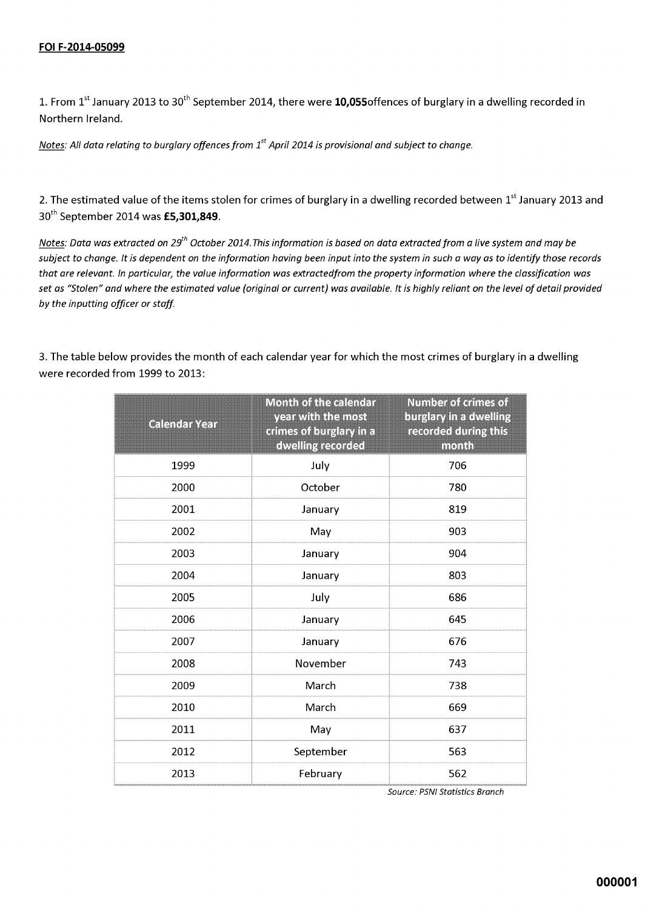1. From  $1^{\text{st}}$  January 2013 to 30<sup>th</sup> September 2014, there were **10,055**offences of burglary in a dwelling recorded in Northern Ireland.

Notes: All data relating to burglary offences from  $1<sup>st</sup>$  April 2014 is provisional and subject to change.

2. The estimated value of the items stolen for crimes of burglary in a dwelling recorded between 1st January 2013 and 30<sup>th</sup> September 2014 was £5,301,849.

Notes: Data was extracted on 29<sup>th</sup> October 2014. This information is based on data extracted from a live system and may be subject to change. It is dependent on the information having been input into the system in such a way as to identify those records that are relevant. In particular, the value information was extractedfrom the property information where the classification was set as "Stolen" and where the estimated value (original or current) was available. It is highly reliant on the level of detail provided by the inputting officer or staff.

| <b>Calendar Year</b> | <b>Month of the calendar</b><br>year with the most<br>crimes of burglary in a<br>dwelling recorded | <b>Number of crimes of</b><br>burglary in a dwelling<br>recorded during this<br>month |
|----------------------|----------------------------------------------------------------------------------------------------|---------------------------------------------------------------------------------------|
| 1999                 | July                                                                                               | 706                                                                                   |
| 2000                 | October                                                                                            | 780                                                                                   |
| 2001                 | January                                                                                            | 819                                                                                   |
| 2002                 | May                                                                                                | 903                                                                                   |
| 2003                 | January                                                                                            | 904                                                                                   |
| 2004                 | January                                                                                            | 803                                                                                   |
| 2005                 | July                                                                                               | 686                                                                                   |
| 2006                 | January                                                                                            | 645                                                                                   |
| 2007                 | January                                                                                            | 676                                                                                   |
| 2008                 | November                                                                                           | 743                                                                                   |
| 2009                 | March                                                                                              | 738                                                                                   |
| 2010                 | March                                                                                              | 669                                                                                   |
| 2011                 | May                                                                                                | 637                                                                                   |
| 2012                 | September                                                                                          | 563                                                                                   |
| 2013                 | February                                                                                           | 562                                                                                   |

3. The table below provides the month of each calendar year for which the most crimes of burglary in a dwelling were recorded from 1999 to 2013:

Source: PSNI Statistics Branch